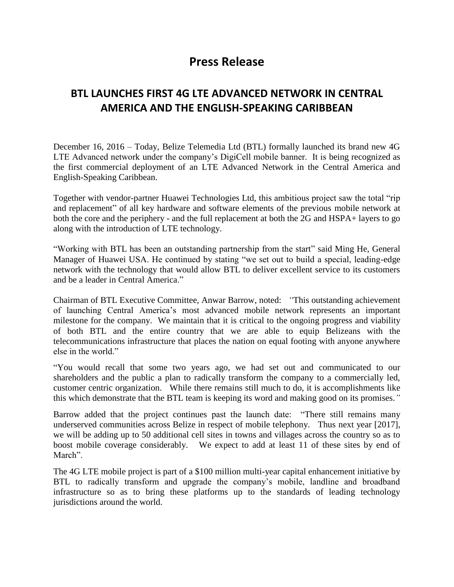## **Press Release**

## **BTL LAUNCHES FIRST 4G LTE ADVANCED NETWORK IN CENTRAL AMERICA AND THE ENGLISH-SPEAKING CARIBBEAN**

December 16, 2016 – Today, Belize Telemedia Ltd (BTL) formally launched its brand new 4G LTE Advanced network under the company's DigiCell mobile banner. It is being recognized as the first commercial deployment of an LTE Advanced Network in the Central America and English-Speaking Caribbean.

Together with vendor-partner Huawei Technologies Ltd, this ambitious project saw the total "rip and replacement" of all key hardware and software elements of the previous mobile network at both the core and the periphery - and the full replacement at both the 2G and HSPA+ layers to go along with the introduction of LTE technology.

"Working with BTL has been an outstanding partnership from the start" said Ming He, General Manager of Huawei USA. He continued by stating "we set out to build a special, leading-edge network with the technology that would allow BTL to deliver excellent service to its customers and be a leader in Central America."

Chairman of BTL Executive Committee, Anwar Barrow, noted: *"*This outstanding achievement of launching Central America's most advanced mobile network represents an important milestone for the company. We maintain that it is critical to the ongoing progress and viability of both BTL and the entire country that we are able to equip Belizeans with the telecommunications infrastructure that places the nation on equal footing with anyone anywhere else in the world."

"You would recall that some two years ago, we had set out and communicated to our shareholders and the public a plan to radically transform the company to a commercially led, customer centric organization. While there remains still much to do, it is accomplishments like this which demonstrate that the BTL team is keeping its word and making good on its promises.*"*

Barrow added that the project continues past the launch date: "There still remains many underserved communities across Belize in respect of mobile telephony. Thus next year [2017], we will be adding up to 50 additional cell sites in towns and villages across the country so as to boost mobile coverage considerably. We expect to add at least 11 of these sites by end of March".

The 4G LTE mobile project is part of a \$100 million multi-year capital enhancement initiative by BTL to radically transform and upgrade the company's mobile, landline and broadband infrastructure so as to bring these platforms up to the standards of leading technology jurisdictions around the world.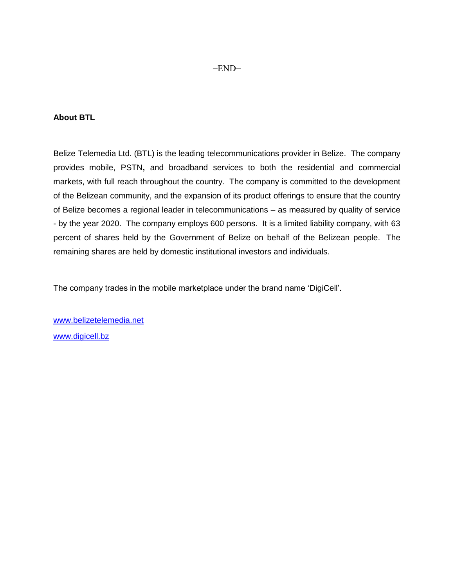## **About BTL**

Belize Telemedia Ltd. (BTL) is the leading telecommunications provider in Belize. The company provides mobile, PSTN**,** and broadband services to both the residential and commercial markets, with full reach throughout the country. The company is committed to the development of the Belizean community, and the expansion of its product offerings to ensure that the country of Belize becomes a regional leader in telecommunications – as measured by quality of service - by the year 2020. The company employs 600 persons. It is a limited liability company, with 63 percent of shares held by the Government of Belize on behalf of the Belizean people. The remaining shares are held by domestic institutional investors and individuals.

The company trades in the mobile marketplace under the brand name 'DigiCell'.

[www.belizetelemedia.net](http://www.belizetelemedia.net/) [www.digicell.bz](http://www.digicell.bz/)